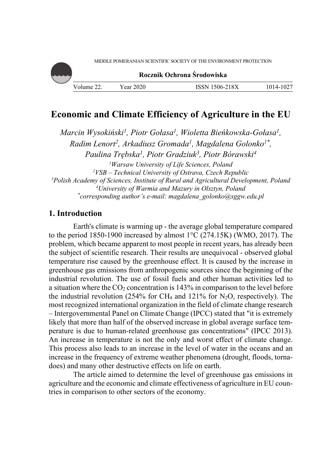

# **Economic and Climate Efficiency of Agriculture in the EU**

*Marcin Wysokiński1, Piotr Gołasa1, Wioletta Bieńkowska-Gołasa1, Radim Lenort2, Arkadiusz Gromada1, Magdalena Golonko1\*, Paulina Trębska1, Piotr Gradziuk3, Piotr Bórawski4* <sup>1</sup> Warsaw University of Life Sciences, Poland <sup>2</sup> VSB – Technical University of Ostraya, Czech Ber *VSB – Technical University of Ostrava, Czech Republic 3* <sup>3</sup>Polish Academy of Sciences, Institute of Rural and Agricultural Development, Poland *University of Warmia and Mazury in Olsztyn, Poland \* corresponding author's e-mail: magdalena\_golonko@sggw.edu.pl* 

## **1. Introduction**

Earth's climate is warming up - the average global temperature compared to the period 1850-1900 increased by almost 1°C (274.15K) (WMO, 2017). The problem, which became apparent to most people in recent years, has already been the subject of scientific research. Their results are unequivocal - observed global temperature rise caused by the greenhouse effect. It is caused by the increase in greenhouse gas emissions from anthropogenic sources since the beginning of the industrial revolution. The use of fossil fuels and other human activities led to a situation where the  $CO<sub>2</sub>$  concentration is 143% in comparison to the level before the industrial revolution (254% for CH<sub>4</sub> and 121% for N<sub>2</sub>O, respectively). The most recognized international organization in the field of climate change research – Intergovernmental Panel on Climate Change (IPCC) stated that "it is extremely likely that more than half of the observed increase in global average surface temperature is due to human-related greenhouse gas concentrations" (IPCC 2013). An increase in temperature is not the only and worst effect of climate change. This process also leads to an increase in the level of water in the oceans and an increase in the frequency of extreme weather phenomena (drought, floods, tornadoes) and many other destructive effects on life on earth.

The article aimed to determine the level of greenhouse gas emissions in agriculture and the economic and climate effectiveness of agriculture in EU countries in comparison to other sectors of the economy.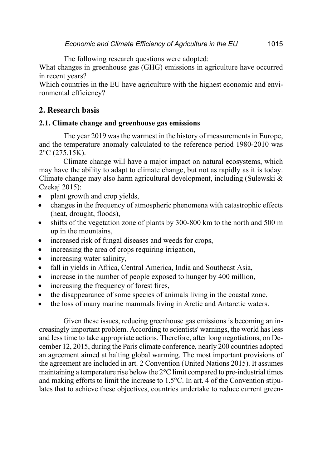The following research questions were adopted:

What changes in greenhouse gas (GHG) emissions in agriculture have occurred in recent years?

Which countries in the EU have agriculture with the highest economic and environmental efficiency?

# **2. Research basis**

# **2.1. Climate change and greenhouse gas emissions**

The year 2019 was the warmest in the history of measurements in Europe, and the temperature anomaly calculated to the reference period 1980-2010 was 2°C (275.15K).

Climate change will have a major impact on natural ecosystems, which may have the ability to adapt to climate change, but not as rapidly as it is today. Climate change may also harm agricultural development, including (Sulewski & Czekaj 2015):

- plant growth and crop yields,
- changes in the frequency of atmospheric phenomena with catastrophic effects (heat, drought, floods),
- shifts of the vegetation zone of plants by 300-800 km to the north and 500 m up in the mountains,
- increased risk of fungal diseases and weeds for crops,
- increasing the area of crops requiring irrigation,
- increasing water salinity,
- fall in yields in Africa, Central America, India and Southeast Asia,
- increase in the number of people exposed to hunger by 400 million,
- increasing the frequency of forest fires,
- the disappearance of some species of animals living in the coastal zone,
- the loss of many marine mammals living in Arctic and Antarctic waters.

Given these issues, reducing greenhouse gas emissions is becoming an increasingly important problem. According to scientists' warnings, the world has less and less time to take appropriate actions. Therefore, after long negotiations, on December 12, 2015, during the Paris climate conference, nearly 200 countries adopted an agreement aimed at halting global warming. The most important provisions of the agreement are included in art. 2 Convention (United Nations 2015). It assumes maintaining a temperature rise below the  $2^{\circ}$ C limit compared to pre-industrial times and making efforts to limit the increase to 1.5°C. In art. 4 of the Convention stipulates that to achieve these objectives, countries undertake to reduce current green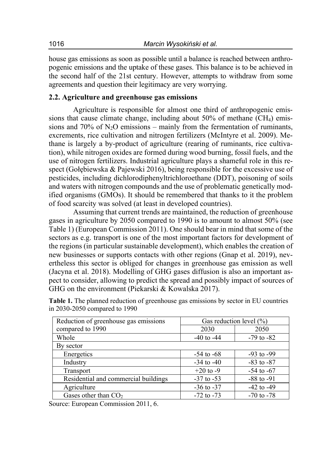house gas emissions as soon as possible until a balance is reached between anthropogenic emissions and the uptake of these gases. This balance is to be achieved in the second half of the 21st century. However, attempts to withdraw from some agreements and question their legitimacy are very worrying.

# **2.2. Agriculture and greenhouse gas emissions**

Agriculture is responsible for almost one third of anthropogenic emissions that cause climate change, including about  $50\%$  of methane (CH<sub>4</sub>) emissions and 70% of  $N_2O$  emissions – mainly from the fermentation of ruminants, excrements, rice cultivation and nitrogen fertilizers (McIntyre et al. 2009). Methane is largely a by-product of agriculture (rearing of ruminants, rice cultivation), while nitrogen oxides are formed during wood burning, fossil fuels, and the use of nitrogen fertilizers. Industrial agriculture plays a shameful role in this respect (Gołębiewska & Pajewski 2016), being responsible for the excessive use of pesticides, including dichlorodiphenyltrichloroethane (DDT), poisoning of soils and waters with nitrogen compounds and the use of problematic genetically modified organisms (GMOs). It should be remembered that thanks to it the problem of food scarcity was solved (at least in developed countries).

Assuming that current trends are maintained, the reduction of greenhouse gases in agriculture by 2050 compared to 1990 is to amount to almost 50% (see Table 1) (European Commission 2011). One should bear in mind that some of the sectors as e.g. transport is one of the most important factors for development of the regions (in particular sustainable development), which enables the creation of new businesses or supports contacts with other regions (Gnap et al. 2019), nevertheless this sector is obliged for changes in greenhouse gas emission as well (Jacyna et al. 2018). Modelling of GHG gases diffusion is also an important aspect to consider, allowing to predict the spread and possibly impact of sources of GHG on the environment (Piekarski & Kowalska 2017).

| Reduction of greenhouse gas emissions | Gas reduction level $(\% )$ |                |
|---------------------------------------|-----------------------------|----------------|
| compared to 1990                      | 2030                        | 2050           |
| Whole                                 | $-40$ to $-44$              | $-79$ to $-82$ |
| By sector                             |                             |                |
| Energetics                            | $-54$ to $-68$              | $-93$ to $-99$ |
| Industry                              | $-34$ to $-40$              | $-83$ to $-87$ |
| Transport                             | $+20$ to -9                 | $-54$ to $-67$ |
| Residential and commercial buildings  | $-37$ to $-53$              | $-88$ to $-91$ |
| Agriculture                           | $-36$ to $-37$              | $-42$ to $-49$ |
| Gases other than $CO2$                | $-72$ to $-73$              | $-70$ to $-78$ |

**Table 1.** The planned reduction of greenhouse gas emissions by sector in EU countries in 2030-2050 compared to 1990

Source: European Commission 2011, 6.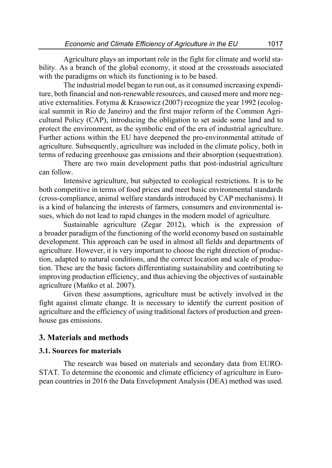Agriculture plays an important role in the fight for climate and world stability. As a branch of the global economy, it stood at the crossroads associated with the paradigms on which its functioning is to be based.

The industrial model began to run out, as it consumed increasing expenditure, both financial and non-renewable resources, and caused more and more negative externalities. Fotyma & Krasowicz (2007) recognize the year 1992 (ecological summit in Rio de Janeiro) and the first major reform of the Common Agricultural Policy (CAP), introducing the obligation to set aside some land and to protect the environment, as the symbolic end of the era of industrial agriculture. Further actions within the EU have deepened the pro-environmental attitude of agriculture. Subsequently, agriculture was included in the climate policy, both in terms of reducing greenhouse gas emissions and their absorption (sequestration).

There are two main development paths that post-industrial agriculture can follow.

Intensive agriculture, but subjected to ecological restrictions. It is to be both competitive in terms of food prices and meet basic environmental standards (cross-compliance, animal welfare standards introduced by CAP mechanisms). It is a kind of balancing the interests of farmers, consumers and environmental issues, which do not lead to rapid changes in the modern model of agriculture.

Sustainable agriculture (Zegar 2012), which is the expression of a broader paradigm of the functioning of the world economy based on sustainable development. This approach can be used in almost all fields and departments of agriculture. However, it is very important to choose the right direction of production, adapted to natural conditions, and the correct location and scale of production. These are the basic factors differentiating sustainability and contributing to improving production efficiency, and thus achieving the objectives of sustainable agriculture (Mańko et al. 2007).

Given these assumptions, agriculture must be actively involved in the fight against climate change. It is necessary to identify the current position of agriculture and the efficiency of using traditional factors of production and greenhouse gas emissions.

### **3. Materials and methods**

### **3.1. Sources for materials**

The research was based on materials and secondary data from EURO-STAT. To determine the economic and climate efficiency of agriculture in European countries in 2016 the Data Envelopment Analysis (DEA) method was used.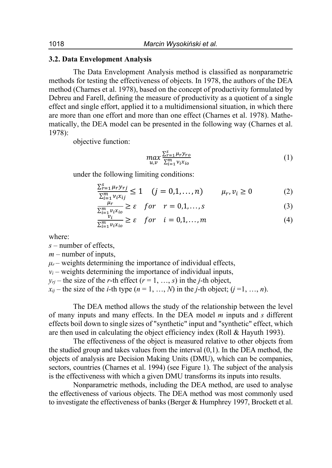### **3.2. Data Envelopment Analysis**

The Data Envelopment Analysis method is classified as nonparametric methods for testing the effectiveness of objects. In 1978, the authors of the DEA method (Charnes et al. 1978), based on the concept of productivity formulated by Debreu and Farell, defining the measure of productivity as a quotient of a single effect and single effort, applied it to a multidimensional situation, in which there are more than one effort and more than one effect (Charnes et al. 1978). Mathematically, the DEA model can be presented in the following way (Charnes et al. 1978):

objective function:

$$
\max_{u,v} \frac{\sum_{r=1}^{s} \mu_r y_{ro}}{\sum_{i=1}^{m} v_i x_{io}} \tag{1}
$$

under the following limiting conditions:

$$
\frac{\sum_{r=1}^{s} \mu_r y_{rj}}{\sum_{i=1}^{m} v_i x_{ij}} \le 1 \quad (j = 0, 1, ..., n) \qquad \mu_r, v_i \ge 0 \tag{2}
$$

$$
\frac{\mu_r}{\sum_{i=1}^m v_i x_{io}} \ge \varepsilon \quad for \quad r = 0, 1, ..., s \tag{3}
$$

$$
\frac{v_i}{\sum_{i=1}^m v_i x_{io}} \ge \varepsilon \quad for \quad i = 0, 1, ..., m \tag{4}
$$

where:

*s* – number of effects,

*m* – number of inputs,

 $\mu_r$  – weights determining the importance of individual effects,

 $v_i$  – weights determining the importance of individual inputs,

 $y_{ri}$  – the size of the *r*-th effect ( $r = 1, ..., s$ ) in the *j*-th object,

 $x_{ii}$  – the size of the *i*-th type  $(n = 1, ..., N)$  in the *j*-th object;  $(j = 1, ..., n)$ .

The DEA method allows the study of the relationship between the level of many inputs and many effects. In the DEA model *m* inputs and *s* different effects boil down to single sizes of "synthetic" input and "synthetic" effect, which are then used in calculating the object efficiency index (Roll & Hayuth 1993).

The effectiveness of the object is measured relative to other objects from the studied group and takes values from the interval (0,1). In the DEA method, the objects of analysis are Decision Making Units (DMU), which can be companies, sectors, countries (Charnes et al. 1994) (see Figure 1). The subject of the analysis is the effectiveness with which a given DMU transforms its inputs into results.

Nonparametric methods, including the DEA method, are used to analyse the effectiveness of various objects. The DEA method was most commonly used to investigate the effectiveness of banks (Berger & Humphrey 1997, Brockett et al.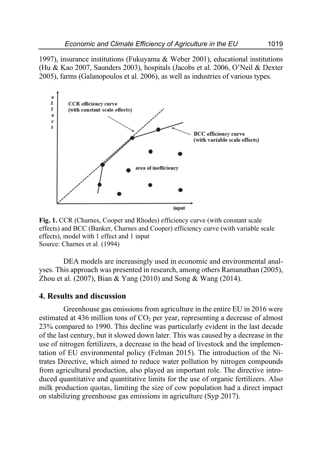1997), insurance institutions (Fukuyama & Weber 2001), educational institutions (Hu & Kao 2007, Saunders 2003), hospitals (Jacobs et al. 2006, O'Neil & Dexter 2005), farms (Galanopoulos et al. 2006), as well as industries of various types.



**Fig. 1.** CCR (Charnes, Cooper and Rhodes) efficiency curve (with constant scale effects) and BCC (Banker, Charnes and Cooper) efficiency curve (with variable scale effects), model with 1 effect and 1 input Source: Charnes et al. (1994)

DEA models are increasingly used in economic and environmental analyses. This approach was presented in research, among others Ramanathan (2005), Zhou et al. (2007), Bian & Yang (2010) and Song & Wang (2014).

### **4. Results and discussion**

Greenhouse gas emissions from agriculture in the entire EU in 2016 were estimated at 436 million tons of  $CO<sub>2</sub>$  per year, representing a decrease of almost 23% compared to 1990. This decline was particularly evident in the last decade of the last century, but it slowed down later. This was caused by a decrease in the use of nitrogen fertilizers, a decrease in the head of livestock and the implementation of EU environmental policy (Felman 2015). The introduction of the Nitrates Directive, which aimed to reduce water pollution by nitrogen compounds from agricultural production, also played an important role. The directive introduced quantitative and quantitative limits for the use of organic fertilizers. Also milk production quotas, limiting the size of cow population had a direct impact on stabilizing greenhouse gas emissions in agriculture (Syp 2017).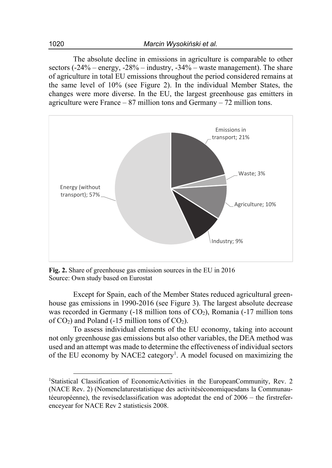The absolute decline in emissions in agriculture is comparable to other sectors (-24% – energy, -28% – industry, -34% – waste management). The share of agriculture in total EU emissions throughout the period considered remains at the same level of 10% (see Figure 2). In the individual Member States, the changes were more diverse. In the EU, the largest greenhouse gas emitters in agriculture were France  $-87$  million tons and Germany  $-72$  million tons.



**Fig. 2.** Share of greenhouse gas emission sources in the EU in 2016 Source: Own study based on Eurostat

Except for Spain, each of the Member States reduced agricultural greenhouse gas emissions in 1990-2016 (see Figure 3). The largest absolute decrease was recorded in Germany  $(-18 \text{ million tons of CO}_2)$ , Romania  $(-17 \text{ million tons})$ of  $CO_2$ ) and Poland (-15 million tons of  $CO_2$ ).

To assess individual elements of the EU economy, taking into account not only greenhouse gas emissions but also other variables, the DEA method was used and an attempt was made to determine the effectiveness of individual sectors of the EU economy by NACE2 category<sup>1</sup>. A model focused on maximizing the

<sup>&</sup>lt;sup>1</sup>Statistical Classification of EconomicActivities in the EuropeanCommunity, Rev. 2 (NACE Rev. 2) (Nomenclaturestatistique des activitéséconomiquesdans la Communautéeuropéenne), the revisedclassification was adoptedat the end of 2006 – the firstreferenceyear for NACE Rev 2 statisticsis 2008.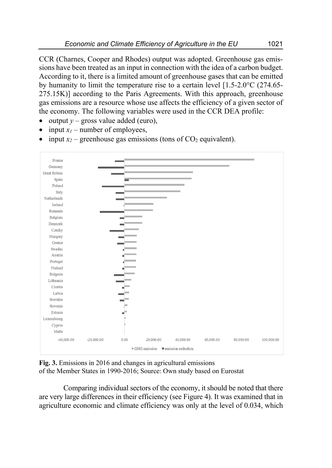CCR (Charnes, Cooper and Rhodes) output was adopted. Greenhouse gas emissions have been treated as an input in connection with the idea of a carbon budget. According to it, there is a limited amount of greenhouse gases that can be emitted by humanity to limit the temperature rise to a certain level [1.5-2.0°C (274.65- 275.15K)] according to the Paris Agreements. With this approach, greenhouse gas emissions are a resource whose use affects the efficiency of a given sector of the economy. The following variables were used in the CCR DEA profile:

- output  $y$  gross value added (euro),
- input  $x_1$  number of employees,
- input  $x_2$  greenhouse gas emissions (tons of  $CO_2$  equivalent).



**Fig. 3.** Emissions in 2016 and changes in agricultural emissions of the Member States in 1990-2016; Source: Own study based on Eurostat

Comparing individual sectors of the economy, it should be noted that there are very large differences in their efficiency (see Figure 4). It was examined that in agriculture economic and climate efficiency was only at the level of 0.034, which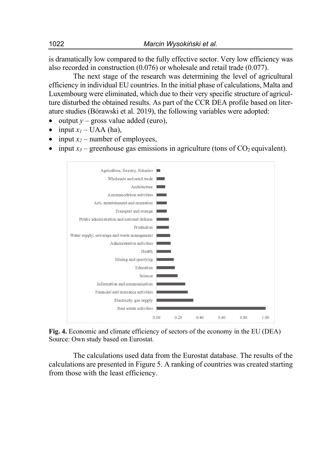is dramatically low compared to the fully effective sector. Very low efficiency was also recorded in construction (0.076) or wholesale and retail trade (0.077).

The next stage of the research was determining the level of agricultural efficiency in individual EU countries. In the initial phase of calculations, Malta and Luxembourg were eliminated, which due to their very specific structure of agriculture disturbed the obtained results. As part of the CCR DEA profile based on literature studies (Bórawski et al. 2019), the following variables were adopted:

- output  $y$  gross value added (euro),
- input  $x_l$  UAA (ha),
- input  $x_2$  number of employees,
- input  $x_3$  greenhouse gas emissions in agriculture (tons of  $CO_2$  equivalent).



**Fig. 4.** Economic and climate efficiency of sectors of the economy in the EU (DEA) Source: Own study based on Eurostat.

The calculations used data from the Eurostat database. The results of the calculations are presented in Figure 5. A ranking of countries was created starting from those with the least efficiency.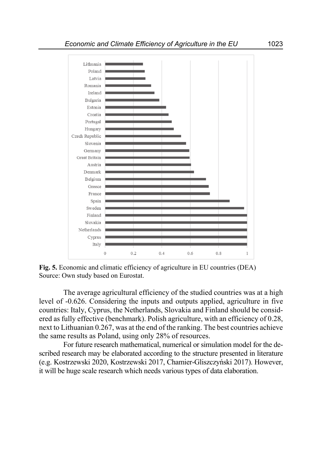

**Fig. 5.** Economic and climatic efficiency of agriculture in EU countries (DEA) Source: Own study based on Eurostat.

The average agricultural efficiency of the studied countries was at a high level of -0.626. Considering the inputs and outputs applied, agriculture in five countries: Italy, Cyprus, the Netherlands, Slovakia and Finland should be considered as fully effective (benchmark). Polish agriculture, with an efficiency of 0.28, next to Lithuanian 0.267, was at the end of the ranking. The best countries achieve the same results as Poland, using only 28% of resources.

For future research mathematical, numerical or simulation model for the described research may be elaborated according to the structure presented in literature (e.g. Kostrzewski 2020, Kostrzewski 2017, Chamier-Gliszczyński 2017). However, it will be huge scale research which needs various types of data elaboration.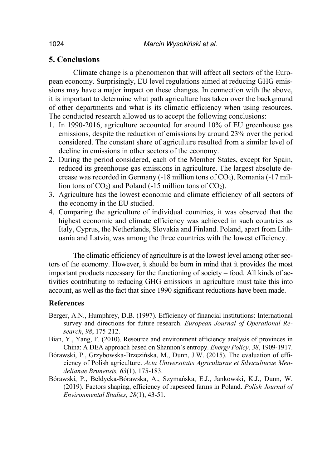## **5. Conclusions**

Climate change is a phenomenon that will affect all sectors of the European economy. Surprisingly, EU level regulations aimed at reducing GHG emissions may have a major impact on these changes. In connection with the above, it is important to determine what path agriculture has taken over the background of other departments and what is its climatic efficiency when using resources. The conducted research allowed us to accept the following conclusions:

- 1. In 1990-2016, agriculture accounted for around 10% of EU greenhouse gas emissions, despite the reduction of emissions by around 23% over the period considered. The constant share of agriculture resulted from a similar level of decline in emissions in other sectors of the economy.
- 2. During the period considered, each of the Member States, except for Spain, reduced its greenhouse gas emissions in agriculture. The largest absolute decrease was recorded in Germany  $(-18 \text{ million tons of CO}_2)$ , Romania  $(-17 \text{ million oz})$ lion tons of  $CO<sub>2</sub>$ ) and Poland (-15 million tons of  $CO<sub>2</sub>$ ).
- 3. Agriculture has the lowest economic and climate efficiency of all sectors of the economy in the EU studied.
- 4. Comparing the agriculture of individual countries, it was observed that the highest economic and climate efficiency was achieved in such countries as Italy, Cyprus, the Netherlands, Slovakia and Finland. Poland, apart from Lithuania and Latvia, was among the three countries with the lowest efficiency.

The climatic efficiency of agriculture is at the lowest level among other sectors of the economy. However, it should be born in mind that it provides the most important products necessary for the functioning of society – food. All kinds of activities contributing to reducing GHG emissions in agriculture must take this into account, as well as the fact that since 1990 significant reductions have been made.

#### **References**

- Berger, A.N., Humphrey, D.B. (1997). Efficiency of financial institutions: International survey and directions for future research. *European Journal of Operational Research*, *98*, 175-212.
- Bian, Y., Yang, F. (2010). Resource and environment efficiency analysis of provinces in China: A DEA approach based on Shannon's entropy. *Energy Policy*, *38*, 1909-1917.
- Bórawski, P., Grzybowska-Brzezińska, M., Dunn, J.W. (2015). The evaluation of efficiency of Polish agriculture. *Acta Universitatis Agriculturae et Silviculturae Mendelianae Brunensis, 63*(1), 175-183.
- Bórawski, P., Bełdycka-Bórawska, A., Szymańska, E.J., Jankowski, K.J., Dunn, W. (2019). Factors shaping, efficiency of rapeseed farms in Poland. *Polish Journal of Environmental Studies, 28*(1), 43-51.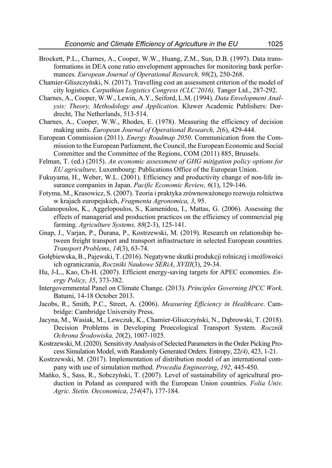- Brockett, P.L., Charnes, A., Cooper, W.W., Huang, Z.M., Sun, D.B. (1997). Data transformations in DEA cone ratio envelopment approaches for monitoring bank performances. *European Journal of Operational Research, 98*(2), 250-268.
- Chamier-Gliszczyński, N. (2017). Travelling cost an assessment criterion of the model of city logistics. *Carpathian Logistics Congress (CLC'2016),* Tanger Ltd., 287-292.
- Charnes, A., Cooper, W.W., Lewin, A.Y., Seiford, L.M. (1994). *Data Envelopment Analysis: Theory, Methodology and Application*. Kluwer Academic Publishers: Dordrecht, The Netherlands, 513-514.
- Charnes, A., Cooper, W.W., Rhodes, E. (1978). Measuring the efficiency of decision making units. *European Journal of Operational Research, 2*(6), 429-444.
- European Commission (2011). *Energy Roadmap 2050*. Communication from the Commission to the European Parliament, the Council, the European Economic and Social Committee and the Committee of the Regions, COM (2011) 885, Brussels.
- Felman, T. (ed.) (2015). *An economic assessment of GHG mitigation policy options for EU agriculture,* Luxembourg: Publications Office of the European Union.
- Fukuyama, H., Weber, W.L. (2001). Efficiency and productivity change of non-life insurance companies in Japan. *Pacific Economic Review, 6*(1), 129-146.
- Fotyma, M., Krasowicz, S. (2007). Teoria i praktyka zrównoważonego rozwoju rolnictwa w krajach europejskich, *Fragmenta Agronomica, 3*, 95.
- Galanopoulos, K., Aggelopoulos, S., Kamenidou, I., Mattas, G. (2006). Assessing the effects of managerial and production practices on the efficiency of commercial pig farming. *Agriculture Systems, 88*(2-3), 125-141.
- Gnap, J., Varjan, P., Ďurana, P., Kostrzewski, M. (2019). Research on relationship between freight transport and transport infrastructure in selected European countries. *Transport Problems*, *14*(3), 63-74.
- Gołębiewska, B., Pajewski, T. (2016). Negatywne skutki produkcji rolniczej i możliwości ich ograniczania, *Roczniki Naukowe SERiA*, *XVIII*(3), 29-34.
- Hu, J-L., Kao, Ch-H. (2007). Efficient energy-saving targets for APEC economies. *Energy Policy, 35*, 373-382.
- Intergovernmental Panel on Climate Change. (2013). *Principles Governing IPCC Work*. Batumi, 14-18 October 2013.
- Jacobs, R., Smith, P.C., Street, A. (2006). *Measuring Efficiency in Healthcare*. Cambridge: Cambridge University Press.
- Jacyna, M., Wasiak, M., Lewczuk, K., Chamier-Gliszczyński, N., Dąbrowski, T. (2018). Decision Problems in Developing Proecological Transport System. *Rocznik Ochrona Środowiska, 20*(2), 1007-1025.
- Kostrzewski, M. (2020). Sensitivity Analysis of Selected Parameters in the Order Picking Process Simulation Model, with Randomly Generated Orders. Entropy, 22*(4)*, 423, 1-21.
- Kostrzewski, M. (2017). Implementation of distribution model of an international company with use of simulation method. *Procedia Engineering*, *192*, 445-450.
- Mańko, S., Sass, R., Sobczyński, T. (2007). Level of sustainability of agricultural production in Poland as compared with the European Union countries. *Folia Univ. Agric. Stetin. Oeconomica*, *254*(47), 177-184.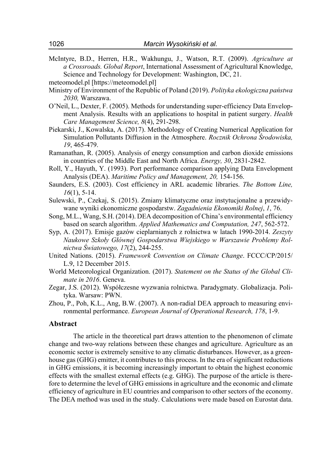McIntyre, B.D., Herren, H.R., Wakhungu, J., Watson, R.T. (2009). *Agriculture at a Crossroads. Global Report*, International Assessment of Agricultural Knowledge, Science and Technology for Development: Washington, DC, 21.

- Ministry of Environment of the Republic of Poland (2019). *Polityka ekologiczna państwa 2030,* Warszawa.
- O'Neil, L., Dexter, F. (2005). Methods for understanding super-efficiency Data Envelopment Analysis. Results with an applications to hospital in patient surgery. *Health Care Management Science, 8*(4), 291-298.
- Piekarski, J., Kowalska, A. (2017). Methodology of Creating Numerical Application for Simulation Pollutants Diffusion in the Atmosphere. *Rocznik Ochrona Środowiska, 19*, 465-479.
- Ramanathan, R. (2005). Analysis of energy consumption and carbon dioxide emissions in countries of the Middle East and North Africa. *Energy, 30*, 2831-2842.
- Roll, Y., Hayuth, Y. (1993). Port performance comparison applying Data Envelopment Analysis (DEA). *Maritime Policy and Management, 20,* 154-156.
- Saunders, E.S. (2003). Cost efficiency in ARL academic libraries. *The Bottom Line, 16*(1), 5-14.
- Sulewski, P., Czekaj, S. (2015). Zmiany klimatyczne oraz instytucjonalne a przewidywane wyniki ekonomiczne gospodarstw. *Zagadnienia Ekonomiki Rolnej*, *1*, 76.
- Song, M.L., Wang, S.H. (2014). DEA decomposition of China's environmental efficiency based on search algorithm. *Applied Mathematics and Computation, 247*, 562-572.
- Syp, A. (2017). Emisje gazów cieplarnianych z rolnictwa w latach 1990-2014. *Zeszyty Naukowe Szkoły Głównej Gospodarstwa Wiejskiego w Warszawie Problemy Rolnictwa Światowego, 17*(2), 244-255.
- United Nations. (2015). *Framework Convention on Climate Change*. FCCC/CP/2015/ L.9, 12 December 2015.
- World Meteorological Organization. (2017). *Statement on the Status of the Global Climate in 2016*. Geneva.
- Zegar, J.S. (2012). Współczesne wyzwania rolnictwa. Paradygmaty. Globalizacja. Polityka. Warsaw: PWN.
- Zhou, P., Poh, K.L., Ang, B.W. (2007). A non-radial DEA approach to measuring environmental performance. *European Journal of Operational Research, 178*, 1-9.

#### **Abstract**

The article in the theoretical part draws attention to the phenomenon of climate change and two-way relations between these changes and agriculture. Agriculture as an economic sector is extremely sensitive to any climatic disturbances. However, as a greenhouse gas (GHG) emitter, it contributes to this process. In the era of significant reductions in GHG emissions, it is becoming increasingly important to obtain the highest economic effects with the smallest external effects (e.g. GHG). The purpose of the article is therefore to determine the level of GHG emissions in agriculture and the economic and climate efficiency of agriculture in EU countries and comparison to other sectors of the economy. The DEA method was used in the study. Calculations were made based on Eurostat data.

meteomodel.pl [https://meteomodel.pl]